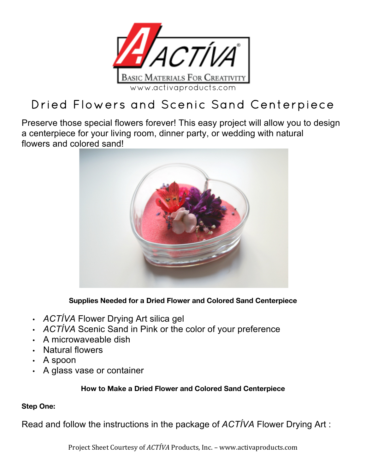

# Dried Flowers and Scenic Sand Centerpiece

Preserve those special flowers forever! This easy project will allow you to design a centerpiece for your living room, dinner party, or wedding with natural flowers and colored sand!



**Supplies Needed for a Dried Flower and Colored Sand Centerpiece**

- *ACTÍVA* Flower Drying Art silica gel
- *ACTÍVA* Scenic Sand in Pink or the color of your preference
- A microwaveable dish
- Natural flowers
- A spoon
- A glass vase or container

## **How to Make a Dried Flower and Colored Sand Centerpiece**

## **Step One:**

Read and follow the instructions in the package of *ACTÍVA* Flower Drying Art :

Project Sheet Courtesy of *ACTÍVA* Products, Inc. - www.activaproducts.com